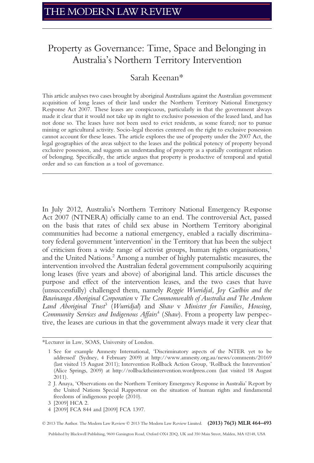# Property as Governance: Time, Space and Belonging in Australia's Northern Territory Intervention

# Sarah Keenan\*

This article analyses two cases brought by aboriginal Australians against the Australian government acquisition of long leases of their land under the Northern Territory National Emergency Response Act 2007. These leases are conspicuous, particularly in that the government always made it clear that it would not take up its right to exclusive possession of the leased land, and has not done so. The leases have not been used to evict residents, as some feared; nor to pursue mining or agricultural activity. Socio-legal theories centered on the right to exclusive possession cannot account for these leases. The article explores the use of property under the 2007 Act, the legal geographies of the areas subject to the leases and the political potency of property beyond exclusive possession, and suggests an understanding of property as a spatially contingent relation of belonging. Specifically, the article argues that property is productive of temporal and spatial order and so can function as a tool of governance.

In July 2012, Australia's Northern Territory National Emergency Response Act 2007 (NTNERA) officially came to an end. The controversial Act, passed on the basis that rates of child sex abuse in Northern Territory aboriginal communities had become a national emergency, enabled a racially discriminatory federal government 'intervention' in the Territory that has been the subject of criticism from a wide range of activist groups, human rights organisations, $\frac{1}{1}$ and the United Nations.<sup>2</sup> Among a number of highly paternalistic measures, the intervention involved the Australian federal government compulsorily acquiring long leases (five years and above) of aboriginal land. This article discusses the purpose and effect of the intervention leases, and the two cases that have (unsuccessfully) challenged them, namely *Reggie Wurridjal, Joy Garlbin and the Bawinanga Aboriginal Corporation* v *The Commonwealth of Australia and The Arnhem Land Aboriginal Trust*<sup>3</sup> (*Wurridjal*) and *Shaw* v *Minister for Families, Housing, Community Services and Indigenous Affairs*<sup>4</sup> (*Shaw*). From a property law perspective, the leases are curious in that the government always made it very clear that

Published by Blackwell Publishing, 9600 Garsington Road, Oxford OX4 2DQ, UK and 350 Main Street, Malden, MA 02148, USA

<sup>\*</sup>Lecturer in Law, SOAS, University of London.

<sup>1</sup> See for example Amnesty International, 'Discriminatory aspects of the NTER yet to be addressed' (Sydney, 4 February 2009) at http://www.amnesty.org.au/news/comments/20169 (last visited 15 August 2011); Intervention Rollback Action Group, 'Rollback the Intervention' (Alice Springs, 2009) at http://rollbacktheintervention.wordpress.com (last visited 18 August 2011).

<sup>2</sup> J. Anaya, 'Observations on the Northern Territory Emergency Response in Australia' Report by the United Nations Special Rapporteur on the situation of human rights and fundamental freedoms of indigenous people (2010).

<sup>3 [2009]</sup> HCA 2.

<sup>4 [2009]</sup> FCA 844 and [2009] FCA 1397.

<sup>© 2013</sup> The Author. The Modern Law Review © 2013 The Modern Law Review Limited. **(2013) 76(3) MLR 464–493**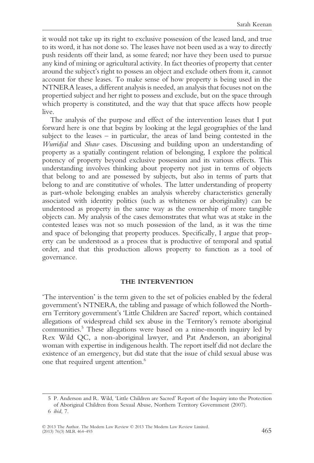it would not take up its right to exclusive possession of the leased land, and true to its word, it has not done so. The leases have not been used as a way to directly push residents off their land, as some feared; nor have they been used to pursue any kind of mining or agricultural activity. In fact theories of property that center around the subject's right to possess an object and exclude others from it, cannot account for these leases. To make sense of how property is being used in the NTNERA leases, a different analysis is needed, an analysis that focuses not on the propertied subject and her right to possess and exclude, but on the space through which property is constituted, and the way that that space affects how people live.

The analysis of the purpose and effect of the intervention leases that I put forward here is one that begins by looking at the legal geographies of the land subject to the leases – in particular, the areas of land being contested in the *Wurridjal* and *Shaw* cases. Discussing and building upon an understanding of property as a spatially contingent relation of belonging, I explore the political potency of property beyond exclusive possession and its various effects. This understanding involves thinking about property not just in terms of objects that belong to and are possessed by subjects, but also in terms of parts that belong to and are constitutive of wholes. The latter understanding of property as part-whole belonging enables an analysis whereby characteristics generally associated with identity politics (such as whiteness or aboriginality) can be understood as property in the same way as the ownership of more tangible objects can. My analysis of the cases demonstrates that what was at stake in the contested leases was not so much possession of the land, as it was the time and space of belonging that property produces. Specifically, I argue that property can be understood as a process that is productive of temporal and spatial order, and that this production allows property to function as a tool of governance.

#### **THE INTERVENTION**

'The intervention' is the term given to the set of policies enabled by the federal government's NTNERA, the tabling and passage of which followed the Northern Territory government's 'Little Children are Sacred' report, which contained allegations of widespread child sex abuse in the Territory's remote aboriginal communities.5 These allegations were based on a nine-month inquiry led by Rex Wild QC, a non-aboriginal lawyer, and Pat Anderson, an aboriginal woman with expertise in indigenous health. The report itself did not declare the existence of an emergency, but did state that the issue of child sexual abuse was one that required urgent attention.<sup>6</sup>

<sup>5</sup> P. Anderson and R. Wild, 'Little Children are Sacred' Report of the Inquiry into the Protection of Aboriginal Children from Sexual Abuse, Northern Territory Government (2007).

<sup>6</sup> *ibid*, 7.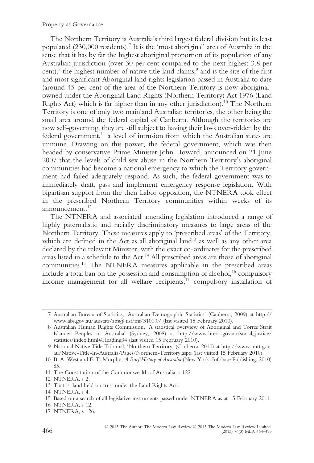The Northern Territory is Australia's third largest federal division but its least populated (230,000 residents).7 It is the 'most aboriginal' area of Australia in the sense that it has by far the highest aboriginal proportion of its population of any Australian jurisdiction (over 30 per cent compared to the next highest 3.8 per cent),<sup>8</sup> the highest number of native title land claims,<sup>9</sup> and is the site of the first and most significant Aboriginal land rights legislation passed in Australia to date (around 45 per cent of the area of the Northern Territory is now aboriginalowned under the Aboriginal Land Rights (Northern Territory) Act 1976 (Land Rights Act) which is far higher than in any other jurisdiction).<sup>10</sup> The Northern Territory is one of only two mainland Australian territories, the other being the small area around the federal capital of Canberra. Although the territories are now self-governing, they are still subject to having their laws over-ridden by the federal government, $11$  a level of intrusion from which the Australian states are immune. Drawing on this power, the federal government, which was then headed by conservative Prime Minister John Howard, announced on 21 June 2007 that the levels of child sex abuse in the Northern Territory's aboriginal communities had become a national emergency to which the Territory government had failed adequately respond. As such, the federal government was to immediately draft, pass and implement emergency response legislation. With bipartisan support from the then Labor opposition, the NTNERA took effect in the prescribed Northern Territory communities within weeks of its announcement. $12$ 

The NTNERA and associated amending legislation introduced a range of highly paternalistic and racially discriminatory measures to large areas of the Northern Territory. These measures apply to 'prescribed areas' of the Territory, which are defined in the Act as all aboriginal land<sup>13</sup> as well as any other area declared by the relevant Minister, with the exact co-ordinates for the prescribed areas listed in a schedule to the Act.14 All prescribed areas are those of aboriginal communities.15 The NTNERA measures applicable in the prescribed areas include a total ban on the possession and consumption of alcohol,<sup>16</sup> compulsory income management for all welfare recipients, $17$  compulsory installation of

<sup>7</sup> Australian Bureau of Statistics, 'Australian Demographic Statistics' (Canberra, 2009) at http:// www.abs.gov.au/ausstats/abs@.nsf/mf/3101.0/ (last visited 15 February 2010).

<sup>8</sup> Australian Human Rights Commission, 'A statistical overview of Aboriginal and Torres Strait Islander Peoples in Australia' (Sydney, 2008) at http://www.hreoc.gov.au/social\_justice/ statistics/index.html#Heading34 (last visited 15 February 2010).

<sup>9</sup> National Native Title Tribunal, 'Northern Territory' (Canberra, 2010) at http://www.nntt.gov. au/Native-Title-In-Australia/Pages/Northern-Territory.aspx (last visited 15 February 2010).

<sup>10</sup> B. A. West and F. T. Murphy, *A Brief History of Australia* (New York: Infobase Publishing, 2010) 85.

<sup>11</sup> The Constitution of the Commonwealth of Australia, s 122.

<sup>12</sup> NTNERA, s 2.

<sup>13</sup> That is, land held on trust under the Land Rights Act.

<sup>14</sup> NTNERA, s 4.

<sup>15</sup> Based on a search of all legislative instruments passed under NTNERA as at 15 February 2011.

<sup>16</sup> NTNERA, s 12.

<sup>17</sup> NTNERA, s 126.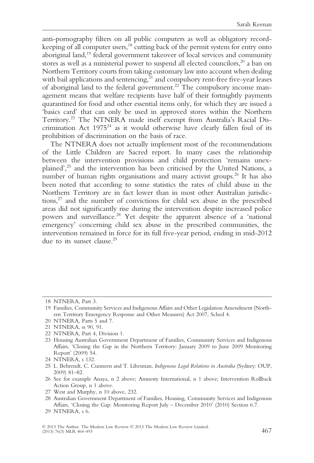anti-pornography filters on all public computers as well as obligatory recordkeeping of all computer users,18 cutting back of the permit system for entry onto aboriginal land,19 federal government takeover of local services and community stores as well as a ministerial power to suspend all elected councilors, $2^0$  a ban on Northern Territory courts from taking customary law into account when dealing with bail applications and sentencing,<sup>21</sup> and compulsory rent-free five-year leases of aboriginal land to the federal government.22 The compulsory income management means that welfare recipients have half of their fortnightly payments quarantined for food and other essential items only, for which they are issued a 'basics card' that can only be used in approved stores within the Northern Territory.23 The NTNERA made itself exempt from Australia's Racial Discrimination Act  $1975^{24}$  as it would otherwise have clearly fallen foul of its prohibition of discrimination on the basis of race.

The NTNERA does not actually implement most of the recommendations of the Little Children are Sacred report. In many cases the relationship between the intervention provisions and child protection 'remains unexplained',25 and the intervention has been criticised by the United Nations, a number of human rights organisations and many activist groups.<sup>26</sup> It has also been noted that according to some statistics the rates of child abuse in the Northern Territory are in fact lower than in most other Australian jurisdictions,27 and the number of convictions for child sex abuse in the prescribed areas did not significantly rise during the intervention despite increased police powers and surveillance.28 Yet despite the apparent absence of a 'national emergency' concerning child sex abuse in the prescribed communities, the intervention remained in force for its full five-year period, ending in mid-2012 due to its sunset clause.<sup>29</sup>

20 NTNERA, Parts 5 and 7.

22 NTNERA, Part 4, Division 1.

<sup>18</sup> NTNERA, Part 3.

<sup>19</sup> Families, Community Services and Indigenous Affairs and Other Legislation Amendment (Northern Territory Emergency Response and Other Measures) Act 2007, Sched 4.

<sup>21</sup> NTNERA, ss 90, 91.

<sup>23</sup> Housing Australian Government Department of Families, Community Services and Indigenous Affairs, 'Closing the Gap in the Northern Territory: January 2009 to June 2009 Monitoring Report' (2009) 54.

<sup>24</sup> NTNERA, s 132.

<sup>25</sup> L. Behrendt, C. Cunneen and T. Libesman, *Indigenous Legal Relations in Australia* (Sydney: OUP, 2009) 81–82.

<sup>26</sup> See for example Anaya, n 2 above; Amnesty International, n 1 above; Intervention Rollback Action Group, n 1 above.

<sup>27</sup> West and Murphy, n 10 above, 232.

<sup>28</sup> Australian Government Department of Families, Housing, Community Services and Indigenous Affairs, 'Closing the Gap: Monitoring Report July – December 2010' (2010) Section 6.7.

<sup>29</sup> NTNERA, s 6.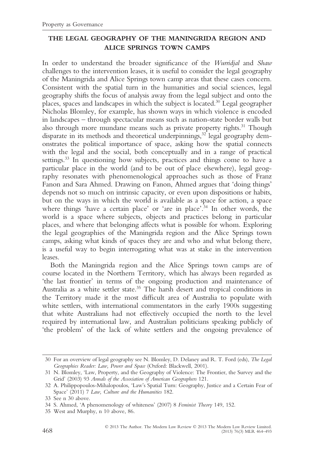# **THE LEGAL GEOGRAPHY OF THE MANINGRIDA REGION AND ALICE SPRINGS TOWN CAMPS**

In order to understand the broader significance of the *Wurridjal* and *Shaw* challenges to the intervention leases, it is useful to consider the legal geography of the Maningrida and Alice Springs town camp areas that these cases concern. Consistent with the spatial turn in the humanities and social sciences, legal geography shifts the focus of analysis away from the legal subject and onto the places, spaces and landscapes in which the subject is located.30 Legal geographer Nicholas Blomley, for example, has shown ways in which violence is encoded in landscapes – through spectacular means such as nation-state border walls but also through more mundane means such as private property rights.<sup>31</sup> Though disparate in its methods and theoretical underpinnings,  $32$  legal geography demonstrates the political importance of space, asking how the spatial connects with the legal and the social, both conceptually and in a range of practical settings.<sup>33</sup> In questioning how subjects, practices and things come to have a particular place in the world (and to be out of place elsewhere), legal geography resonates with phenomenological approaches such as those of Franz Fanon and Sara Ahmed. Drawing on Fanon, Ahmed argues that 'doing things' depends not so much on intrinsic capacity, or even upon dispositions or habits, but on the ways in which the world is available as a space for action, a space where things 'have a certain place' or 'are in place'.<sup>34</sup> In other words, the world is a space where subjects, objects and practices belong in particular places, and where that belonging affects what is possible for whom. Exploring the legal geographies of the Maningrida region and the Alice Springs town camps, asking what kinds of spaces they are and who and what belong there, is a useful way to begin interrogating what was at stake in the intervention leases.

Both the Maningrida region and the Alice Springs town camps are of course located in the Northern Territory, which has always been regarded as 'the last frontier' in terms of the ongoing production and maintenance of Australia as a white settler state.35 The harsh desert and tropical conditions in the Territory made it the most difficult area of Australia to populate with white settlers, with international commentators in the early 1900s suggesting that white Australians had not effectively occupied the north to the level required by international law, and Australian politicians speaking publicly of 'the problem' of the lack of white settlers and the ongoing prevalence of

<sup>30</sup> For an overview of legal geography see N. Blomley, D. Delaney and R. T. Ford (eds), *The Legal Geographies Reader: Law, Power and Space* (Oxford: Blackwell, 2001).

<sup>31</sup> N. Blomley, 'Law, Property, and the Geography of Violence: The Frontier, the Survey and the Grid' (2003) 93 *Annals of the Association of American Geographers* 121.

<sup>32</sup> A. Philippopoulos-Mihalopoulos, 'Law's Spatial Turn: Geography, Justice and a Certain Fear of Space' (2011) 7 *Law, Culture and the Humanities* 182.

<sup>33</sup> See n 30 above.

<sup>34</sup> S. Ahmed, 'A phenomenology of whiteness' (2007) 8 *Feminist Theory* 149, 152.

<sup>35</sup> West and Murphy, n 10 above, 86.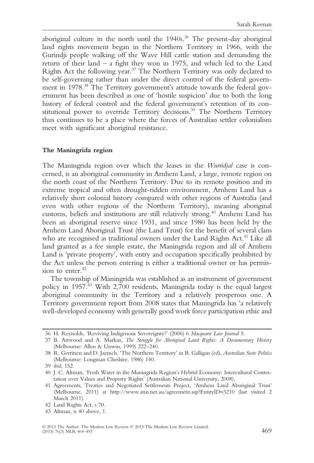aboriginal culture in the north until the  $1940s<sup>36</sup>$ . The present-day aboriginal land rights movement began in the Northern Territory in 1966, with the Gurindji people walking off the Wave Hill cattle station and demanding the return of their land – a fight they won in 1975, and which led to the Land Rights Act the following year.37 The Northern Territory was only declared to be self-governing rather than under the direct control of the federal government in 1978.38 The Territory government's attitude towards the federal government has been described as one of 'hostile suspicion' due to both the long history of federal control and the federal government's retention of its constitutional power to override Territory decisions.<sup>39</sup> The Northern Territory thus continues to be a place where the forces of Australian settler colonialism meet with significant aboriginal resistance.

#### **The Maningrida region**

The Maningrida region over which the leases in the *Wurridjal* case is concerned, is an aboriginal community in Arnhem Land, a large, remote region on the north coast of the Northern Territory. Due to its remote position and its extreme tropical and often drought-ridden environment, Arnhem Land has a relatively short colonial history compared with other regions of Australia (and even with other regions of the Northern Territory), meaning aboriginal customs, beliefs and institutions are still relatively strong.<sup>40</sup> Arnhem Land has been an aboriginal reserve since 1931, and since 1980 has been held by the Arnhem Land Aboriginal Trust (the Land Trust) for the benefit of several clans who are recognised as traditional owners under the Land Rights Act.<sup>41</sup> Like all land granted as a fee simple estate, the Maningrida region and all of Arnhem Land is 'private property', with entry and occupation specifically prohibited by the Act unless the person entering is either a traditional owner or has permission to enter. $42$ 

The township of Maningrida was established as an instrument of government policy in 1957.<sup>43</sup> With 2,700 residents, Maningrida today is the equal largest aboriginal community in the Territory and a relatively prosperous one. A Territory government report from 2008 states that Maningrida has 'a relatively well-developed economy with generally good work force participation ethic and

<sup>36</sup> H. Reynolds, 'Reviving Indigenous Sovereignty?' (2006) 6 *Macquarie Law Journal* 5.

<sup>37</sup> B. Attwood and A. Markus, *The Struggle for Aboriginal Land Rights: A Documentary History* (Melbourne: Allen & Unwin, 1999) 222–240.

<sup>38</sup> R. Gerritsen and D. Jaensch, 'The Northern Territory' in B. Galligan (ed), *Australian State Politics* (Melbourne: Longman Cheshire, 1986) 140.

<sup>39</sup> *ibid*, 152.

<sup>40</sup> J. C. Altman, 'Fresh Water in the Maningrida Region's Hybrid Economy: Intercultural Contestation over Values and Property Rights' (Australian National University, 2008).

<sup>41</sup> Agreements, Treaties and Negotiated Settlements Project, 'Arnhem Land Aboriginal Trust' (Melbourne, 2011) at http://www.atns.net.au/agreement.asp?EntityID=3210 (last visited 2 March 2011).

<sup>42</sup> Land Rights Act, s 70.

<sup>43</sup> Altman, n 40 above, 1.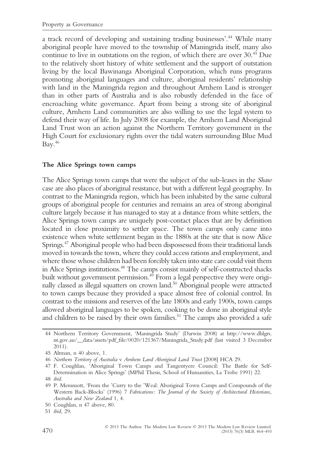a track record of developing and sustaining trading businesses'.44 While many aboriginal people have moved to the township of Maningrida itself, many also continue to live in outstations on the region, of which there are over 30.45 Due to the relatively short history of white settlement and the support of outstation living by the local Bawinanga Aboriginal Corporation, which runs programs promoting aboriginal languages and culture, aboriginal residents' relationship with land in the Maningrida region and throughout Arnhem Land is stronger than in other parts of Australia and is also robustly defended in the face of encroaching white governance. Apart from being a strong site of aboriginal culture, Arnhem Land communities are also willing to use the legal system to defend their way of life. In July 2008 for example, the Arnhem Land Aboriginal Land Trust won an action against the Northern Territory government in the High Court for exclusionary rights over the tidal waters surrounding Blue Mud Bay. $46$ 

## **The Alice Springs town camps**

The Alice Springs town camps that were the subject of the sub-leases in the *Shaw* case are also places of aboriginal resistance, but with a different legal geography. In contrast to the Maningrida region, which has been inhabited by the same cultural groups of aboriginal people for centuries and remains an area of strong aboriginal culture largely because it has managed to stay at a distance from white settlers, the Alice Springs town camps are uniquely post-contact places that are by definition located in close proximity to settler space. The town camps only came into existence when white settlement began in the 1880s at the site that is now Alice Springs.47 Aboriginal people who had been dispossessed from their traditional lands moved in towards the town, where they could access rations and employment, and where those whose children had been forcibly taken into state care could visit them in Alice Springs institutions.48 The camps consist mainly of self-constructed shacks built without government permission.<sup>49</sup> From a legal perspective they were originally classed as illegal squatters on crown land.50 Aboriginal people were attracted to town camps because they provided a space almost free of colonial control. In contrast to the missions and reserves of the late 1800s and early 1900s, town camps allowed aboriginal languages to be spoken, cooking to be done in aboriginal style and children to be raised by their own families.<sup>51</sup> The camps also provided a safe

<sup>44</sup> Northern Territory Government, 'Maningrida Study' (Darwin 2008) at http://www.dhlgrs. nt.gov.au/\_\_data/assets/pdf\_file/0020/121367/Maningrida\_Study.pdf (last visited 3 December 2011).

<sup>45</sup> Altman, n 40 above, 1.

<sup>46</sup> *Northern Territory of Australia* v *Arnhem Land Aboriginal Land Trust* [2008] HCA 29.

<sup>47</sup> F. Coughlan, 'Aboriginal Town Camps and Tangentyere Council: The Battle for Self-Determination in Alice Springs' (MPhil Thesis, School of Humanities, La Trobe 1991) 22. 48 *ibid*.

<sup>49</sup> P. Memmott, 'From the 'Curry to the 'Weal: Aboriginal Town Camps and Compounds of the Western Back-Blocks' (1996) 7 *Fabrications: The Journal of the Society of Architectural Historians, Australia and New Zealand* 1, 4.

<sup>50</sup> Coughlan, n 47 above, 80.

<sup>51</sup> *ibid*, 29.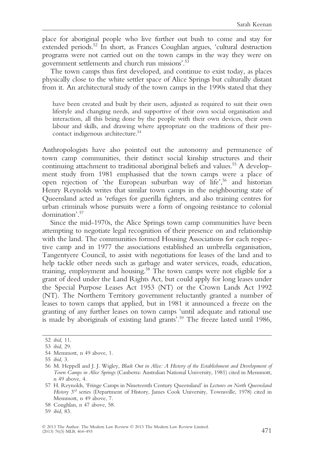place for aboriginal people who live further out bush to come and stay for extended periods.<sup>52</sup> In short, as Frances Coughlan argues, 'cultural destruction programs were not carried out on the town camps in the way they were on government settlements and church run missions'.53

The town camps thus first developed, and continue to exist today, as places physically close to the white settler space of Alice Springs but culturally distant from it. An architectural study of the town camps in the 1990s stated that they

have been created and built by their users, adjusted as required to suit their own lifestyle and changing needs, and supportive of their own social organisation and interaction, all this being done by the people with their own devices, their own labour and skills, and drawing where appropriate on the traditions of their precontact indigenous architecture.54

Anthropologists have also pointed out the autonomy and permanence of town camp communities, their distinct social kinship structures and their continuing attachment to traditional aboriginal beliefs and values.<sup>55</sup> A development study from 1981 emphasised that the town camps were a place of open rejection of 'the European suburban way of life',<sup>56</sup> and historian Henry Reynolds writes that similar town camps in the neighbouring state of Queensland acted as 'refuges for guerilla fighters, and also training centres for urban criminals whose pursuits were a form of ongoing resistance to colonial domination'.57

Since the mid-1970s, the Alice Springs town camp communities have been attempting to negotiate legal recognition of their presence on and relationship with the land. The communities formed Housing Associations for each respective camp and in 1977 the associations established an umbrella organisation, Tangentyere Council, to assist with negotiations for leases of the land and to help tackle other needs such as garbage and water services, roads, education, training, employment and housing.58 The town camps were not eligible for a grant of deed under the Land Rights Act, but could apply for long leases under the Special Purpose Leases Act 1953 (NT) or the Crown Lands Act 1992 (NT). The Northern Territory government reluctantly granted a number of leases to town camps that applied, but in 1981 it announced a freeze on the granting of any further leases on town camps 'until adequate and rational use is made by aboriginals of existing land grants'.59 The freeze lasted until 1986,

<sup>52</sup> *ibid*, 11.

<sup>53</sup> *ibid*, 29.

<sup>54</sup> Memmott, n 49 above, 1.

<sup>55</sup> *ibid*, 3.

<sup>56</sup> M. Heppell and J. J. Wigley, *Black Out in Alice: A History of the Establishment and Development of Town Camps in Alice Springs* (Canberra: Australian National University, 1981) cited in Memmott, n 49 above, 4.

<sup>57</sup> H. Reynolds, 'Fringe Camps in Nineteenth Century Queensland' in *Lectures on North Queensland History* 3<sup>rd</sup> series (Department of History, James Cook University, Townsville, 1978) cited in Memmott, n 49 above, 7.

<sup>58</sup> Coughlan, n 47 above, 58.

<sup>59</sup> *ibid*, 83.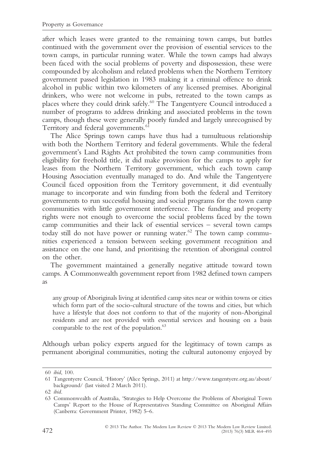after which leases were granted to the remaining town camps, but battles continued with the government over the provision of essential services to the town camps, in particular running water. While the town camps had always been faced with the social problems of poverty and dispossession, these were compounded by alcoholism and related problems when the Northern Territory government passed legislation in 1983 making it a criminal offence to drink alcohol in public within two kilometers of any licensed premises. Aboriginal drinkers, who were not welcome in pubs, retreated to the town camps as places where they could drink safely.60 The Tangentyere Council introduced a number of programs to address drinking and associated problems in the town camps, though these were generally poorly funded and largely unrecognised by Territory and federal governments.<sup>61</sup>

The Alice Springs town camps have thus had a tumultuous relationship with both the Northern Territory and federal governments. While the federal government's Land Rights Act prohibited the town camp communities from eligibility for freehold title, it did make provision for the camps to apply for leases from the Northern Territory government, which each town camp Housing Association eventually managed to do. And while the Tangentyere Council faced opposition from the Territory government, it did eventually manage to incorporate and win funding from both the federal and Territory governments to run successful housing and social programs for the town camp communities with little government interference. The funding and property rights were not enough to overcome the social problems faced by the town camp communities and their lack of essential services – several town camps today still do not have power or running water.<sup>62</sup> The town camp communities experienced a tension between seeking government recognition and assistance on the one hand, and prioritising the retention of aboriginal control on the other.

The government maintained a generally negative attitude toward town camps. A Commonwealth government report from 1982 defined town campers as

any group of Aboriginals living at identified camp sites near or within towns or cities which form part of the socio-cultural structure of the towns and cities, but which have a lifestyle that does not conform to that of the majority of non-Aboriginal residents and are not provided with essential services and housing on a basis comparable to the rest of the population.<sup>63</sup>

Although urban policy experts argued for the legitimacy of town camps as permanent aboriginal communities, noting the cultural autonomy enjoyed by

<sup>60</sup> *ibid*, 100.

<sup>61</sup> Tangentyere Council, 'History' (Alice Springs, 2011) at http://www.tangentyere.org.au/about/ background/ (last visited 2 March 2011).

<sup>62</sup> *ibid*.

<sup>63</sup> Commonwealth of Australia, 'Strategies to Help Overcome the Problems of Aboriginal Town Camps' Report to the House of Representatives Standing Committee on Aboriginal Affairs (Canberra: Government Printer, 1982) 5–6.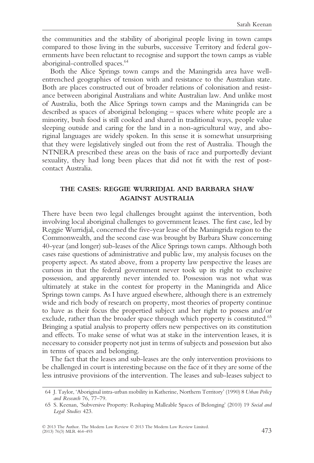the communities and the stability of aboriginal people living in town camps compared to those living in the suburbs, successive Territory and federal governments have been reluctant to recognise and support the town camps as viable aboriginal-controlled spaces.<sup>64</sup>

Both the Alice Springs town camps and the Maningrida area have wellentrenched geographies of tension with and resistance to the Australian state. Both are places constructed out of broader relations of colonisation and resistance between aboriginal Australians and white Australian law. And unlike most of Australia, both the Alice Springs town camps and the Maningrida can be described as spaces of aboriginal belonging – spaces where white people are a minority, bush food is still cooked and shared in traditional ways, people value sleeping outside and caring for the land in a non-agricultural way, and aboriginal languages are widely spoken. In this sense it is somewhat unsurprising that they were legislatively singled out from the rest of Australia. Though the NTNERA prescribed these areas on the basis of race and purportedly deviant sexuality, they had long been places that did not fit with the rest of postcontact Australia.

## **THE CASES: REGGIE WURRIDJAL AND BARBARA SHAW AGAINST AUSTRALIA**

There have been two legal challenges brought against the intervention, both involving local aboriginal challenges to government leases. The first case, led by Reggie Wurridjal, concerned the five-year lease of the Maningrida region to the Commonwealth, and the second case was brought by Barbara Shaw concerning 40-year (and longer) sub-leases of the Alice Springs town camps. Although both cases raise questions of administrative and public law, my analysis focuses on the property aspect. As stated above, from a property law perspective the leases are curious in that the federal government never took up its right to exclusive possession, and apparently never intended to. Possession was not what was ultimately at stake in the contest for property in the Maningrida and Alice Springs town camps. As I have argued elsewhere, although there is an extremely wide and rich body of research on property, most theories of property continue to have as their focus the propertied subject and her right to possess and/or exclude, rather than the broader space through which property is constituted.<sup>65</sup> Bringing a spatial analysis to property offers new perspectives on its constitution and effects. To make sense of what was at stake in the intervention leases, it is necessary to consider property not just in terms of subjects and possession but also in terms of spaces and belonging.

The fact that the leases and sub-leases are the only intervention provisions to be challenged in court is interesting because on the face of it they are some of the less intrusive provisions of the intervention. The leases and sub-leases subject to

<sup>64</sup> J. Taylor, 'Aboriginal intra-urban mobility in Katherine, Northern Territory' (1990) 8 *Urban Policy and Research* 76, 77–79.

<sup>65</sup> S. Keenan, 'Subversive Property: Reshaping Malleable Spaces of Belonging' (2010) 19 *Social and Legal Studies* 423.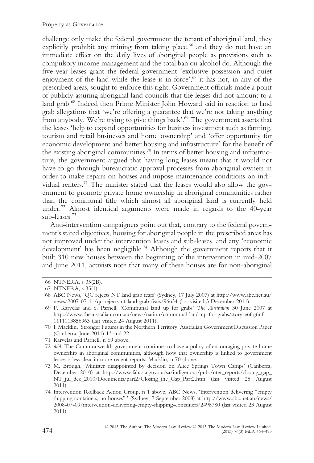challenge only make the federal government the tenant of aboriginal land, they explicitly prohibit any mining from taking place, $66$  and they do not have an immediate effect on the daily lives of aboriginal people as provisions such as compulsory income management and the total ban on alcohol do. Although the five-year leases grant the federal government 'exclusive possession and quiet enjoyment of the land while the lease is in force', $67$  it has not, in any of the prescribed areas, sought to enforce this right. Government officials made a point of publicly assuring aboriginal land councils that the leases did not amount to a land grab.68 Indeed then Prime Minister John Howard said in reaction to land grab allegations that 'we're offering a guarantee that we're not taking anything from anybody. We're trying to give things back'.<sup>69</sup> The government asserts that the leases 'help to expand opportunities for business investment such as farming, tourism and retail businesses and home ownership' and 'offer opportunity for economic development and better housing and infrastructure' for the benefit of the existing aboriginal communities.<sup>70</sup> In terms of better housing and infrastructure, the government argued that having long leases meant that it would not have to go through bureaucratic approval processes from aboriginal owners in order to make repairs on houses and impose maintenance conditions on individual renters.71 The minister stated that the leases would also allow the government to promote private home ownership in aboriginal communities rather than the communal title which almost all aboriginal land is currently held under.72 Almost identical arguments were made in regards to the 40-year sub-leases.73

Anti-intervention campaigners point out that, contrary to the federal government's stated objectives, housing for aboriginal people in the prescribed areas has not improved under the intervention leases and sub-leases, and any 'economic development' has been negligible.74 Although the government reports that it built 310 new houses between the beginning of the intervention in mid-2007 and June 2011, activists note that many of these houses are for non-aboriginal

<sup>66</sup> NTNERA, s 35(2B).

<sup>67</sup> NTNERA, s 35(1).

<sup>68</sup> ABC News, 'QC rejects NT land grab fears' (Sydney, 17 July 2007) at http://www.abc.net.au/ news/2007-07-11/qc-rejects-nt-land-grab-fears/96634 (last visited 3 December 2011).

<sup>69</sup> P. Karvelas and S. Parnell, 'Communal land up for grabs' *The Australian* 30 June 2007 at http://www.theaustralian.com.au/news/nation/communal-land-up-for-grabs/story-e6frg6nf-1111113856963 (last visited 24 August 2011).

<sup>70</sup> J. Macklin, 'Stronger Futures in the Northern Territory' Australian Government Discussion Paper (Canberra, June 2011) 13 and 22.

<sup>71</sup> Karvelas and Parnell, n 69 above.

<sup>72</sup> *ibid*. The Commonwealth government continues to have a policy of encouraging private home ownership in aboriginal communities, although how that ownership is linked to government leases is less clear in more recent reports: Macklin, n 70 above.

<sup>73</sup> M. Brough, 'Minister disappointed by decision on Alice Springs Town Camps' (Canberra, December 2010) at http://www.fahcsia.gov.au/sa/indigenous/pubs/nter\_reports/closing\_gap\_ NT\_jul\_dec\_2010/Documents/part2/Closing\_the\_Gap\_Part2.htm (last visited 25 August 2011).

<sup>74</sup> Intervention Rollback Action Group, n 1 above; ABC News, 'Intervention delivering "empty shipping containers, no houses" ' (Sydney, 7 September 2008) at http://www.abc.net.au/news/ 2008-07-09/intervention-delivering-empty-shipping-containers/2498780 (last visited 23 August 2011).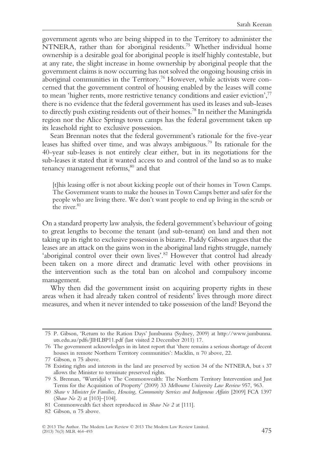government agents who are being shipped in to the Territory to administer the NTNERA, rather than for aboriginal residents.75 Whether individual home ownership is a desirable goal for aboriginal people is itself highly contestable, but at any rate, the slight increase in home ownership by aboriginal people that the government claims is now occurring has not solved the ongoing housing crisis in aboriginal communities in the Territory.76 However, while activists were concerned that the government control of housing enabled by the leases will come to mean 'higher rents, more restrictive tenancy conditions and easier eviction',<sup>77</sup> there is no evidence that the federal government has used its leases and sub-leases to directly push existing residents out of their homes.78 In neither the Maningrida region nor the Alice Springs town camps has the federal government taken up its leasehold right to exclusive possession.

Sean Brennan notes that the federal government's rationale for the five-year leases has shifted over time, and was always ambiguous.79 Its rationale for the 40-year sub-leases is not entirely clear either, but in its negotiations for the sub-leases it stated that it wanted access to and control of the land so as to make tenancy management reforms,<sup>80</sup> and that

[t]his leasing offer is not about kicking people out of their homes in Town Camps. The Government wants to make the houses in Town Camps better and safer for the people who are living there. We don't want people to end up living in the scrub or the river.<sup>81</sup>

On a standard property law analysis, the federal government's behaviour of going to great lengths to become the tenant (and sub-tenant) on land and then not taking up its right to exclusive possession is bizarre. Paddy Gibson argues that the leases are an attack on the gains won in the aboriginal land rights struggle, namely 'aboriginal control over their own lives'.<sup>82</sup> However that control had already been taken on a more direct and dramatic level with other provisions in the intervention such as the total ban on alcohol and compulsory income management.

Why then did the government insist on acquiring property rights in these areas when it had already taken control of residents' lives through more direct measures, and when it never intended to take possession of the land? Beyond the

<sup>75</sup> P. Gibson, 'Return to the Ration Days' Jumbunna (Sydney, 2009) at http://www.jumbunna. uts.edu.au/pdfs/JIHLBP11.pdf (last visited 2 December 2011) 17.

<sup>76</sup> The government acknowledges in its latest report that 'there remains a serious shortage of decent houses in remote Northern Territory communities': Macklin, n 70 above, 22.

<sup>77</sup> Gibson, n 75 above.

<sup>78</sup> Existing rights and interests in the land are preserved by section 34 of the NTNERA, but s 37 allows the Minister to terminate preserved rights.

<sup>79</sup> S. Brennan, 'Wurridjal v The Commonwealth: The Northern Territory Intervention and Just Terms for the Acquisition of Property' (2009) 33 *Melbourne University Law Review* 957, 963.

<sup>80</sup> *Shaw* v *Minister for Families, Housing, Community Services and Indigenous Affairs* [2009] FCA 1397 (*Shaw No 2)* at [103]–[104].

<sup>81</sup> Commonwealth fact sheet reproduced in *Shaw No 2* at [111].

<sup>82</sup> Gibson, n 75 above.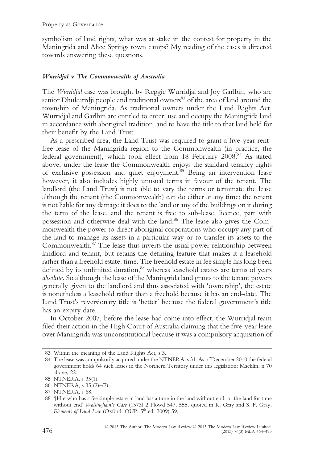symbolism of land rights, what was at stake in the contest for property in the Maningrida and Alice Springs town camps? My reading of the cases is directed towards answering these questions.

#### *Wurridjal* **v** *The Commonwealth of Australia*

The *Wurridjal* case was brought by Reggie Wurridjal and Joy Garlbin, who are senior Dhukurrdji people and traditional owners<sup>83</sup> of the area of land around the township of Maningrida. As traditional owners under the Land Rights Act, Wurridjal and Garlbin are entitled to enter, use and occupy the Maningrida land in accordance with aboriginal tradition, and to have the title to that land held for their benefit by the Land Trust.

As a prescribed area, the Land Trust was required to grant a five-year rentfree lease of the Maningrida region to the Commonwealth (in practice, the federal government), which took effect from 18 February 2008.<sup>84</sup> As stated above, under the lease the Commonwealth enjoys the standard tenancy rights of exclusive possession and quiet enjoyment.<sup>85</sup> Being an intervention lease however, it also includes highly unusual terms in favour of the tenant. The landlord (the Land Trust) is not able to vary the terms or terminate the lease although the tenant (the Commonwealth) can do either at any time; the tenant is not liable for any damage it does to the land or any of the buildings on it during the term of the lease, and the tenant is free to sub-lease, licence, part with possession and otherwise deal with the land.<sup>86</sup> The lease also gives the Commonwealth the power to direct aboriginal corporations who occupy any part of the land to manage its assets in a particular way or to transfer its assets to the Commonwealth.<sup>87</sup> The lease thus inverts the usual power relationship between landlord and tenant, but retains the defining feature that makes it a leasehold rather than a freehold estate: time. The freehold estate in fee simple has long been defined by its unlimited duration,<sup>88</sup> whereas leasehold estates are terms of years *absolute*. So although the lease of the Maningrida land grants to the tenant powers generally given to the landlord and thus associated with 'ownership', the estate is nonetheless a leasehold rather than a freehold because it has an end-date. The Land Trust's reversionary title is 'better' because the federal government's title has an expiry date.

In October 2007, before the lease had come into effect, the Wurridjal team filed their action in the High Court of Australia claiming that the five-year lease over Maningrida was unconstitutional because it was a compulsory acquisition of

<sup>83</sup> Within the meaning of the Land Rights Act, s 3.

<sup>84</sup> The lease was compulsorily acquired under the NTNERA, s 31. As of December 2010 the federal government holds 64 such leases in the Northern Territory under this legislation: Macklin, n 70 above, 22.

<sup>85</sup> NTNERA, s 35(1).

<sup>86</sup> NTNERA, s 35 (2)–(7).

<sup>87</sup> NTNERA, s 68.

<sup>88 &#</sup>x27;[H]e who has a fee simple estate in land has a time in the land without end, or the land for time without end' *Walsingham's Case* (1573) 2 Plowd 547, 555, quoted in K. Gray and S. F. Gray, *Elements of Land Law* (Oxford: OUP, 5<sup>th</sup> ed, 2009) 59.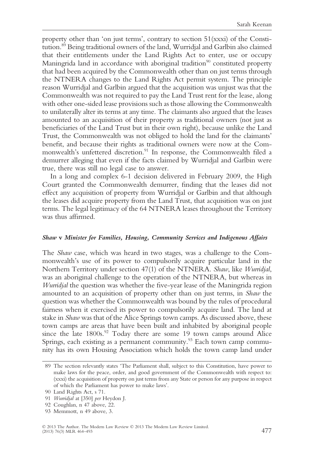property other than 'on just terms', contrary to section  $51(xxxi)$  of the Constitution.89 Being traditional owners of the land, Wurridjal and Garlbin also claimed that their entitlements under the Land Rights Act to enter, use or occupy Maningrida land in accordance with aboriginal tradition<sup>90</sup> constituted property that had been acquired by the Commonwealth other than on just terms through the NTNERA changes to the Land Rights Act permit system. The principle reason Wurridjal and Garlbin argued that the acquisition was unjust was that the Commonwealth was not required to pay the Land Trust rent for the lease, along with other one-sided lease provisions such as those allowing the Commonwealth to unilaterally alter its terms at any time. The claimants also argued that the leases amounted to an acquisition of their property as traditional owners (not just as beneficiaries of the Land Trust but in their own right), because unlike the Land Trust, the Commonwealth was not obliged to hold the land for the claimants' benefit, and because their rights as traditional owners were now at the Commonwealth's unfettered discretion.<sup>91</sup> In response, the Commonwealth filed a demurrer alleging that even if the facts claimed by Wurridjal and Garlbin were true, there was still no legal case to answer.

In a long and complex 6-1 decision delivered in February 2009, the High Court granted the Commonwealth demurrer, finding that the leases did not effect any acquisition of property from Wurridjal or Garlbin and that although the leases did acquire property from the Land Trust, that acquisition was on just terms. The legal legitimacy of the 64 NTNERA leases throughout the Territory was thus affirmed.

#### *Shaw* **v** *Minister for Families, Housing, Community Services and Indigenous Affairs*

The *Shaw* case, which was heard in two stages, was a challenge to the Commonwealth's use of its power to compulsorily acquire particular land in the Northern Territory under section 47(1) of the NTNERA. *Shaw*, like *Wurridjal*, was an aboriginal challenge to the operation of the NTNERA, but whereas in *Wurridjal* the question was whether the five-year lease of the Maningrida region amounted to an acquisition of property other than on just terms, in *Shaw* the question was whether the Commonwealth was bound by the rules of procedural fairness when it exercised its power to compulsorily acquire land. The land at stake in *Shaw* was that of the Alice Springs town camps. As discussed above, these town camps are areas that have been built and inhabited by aboriginal people since the late  $1800s^{92}$  Today there are some 19 town camps around Alice Springs, each existing as a permanent community.<sup>93</sup> Each town camp community has its own Housing Association which holds the town camp land under

<sup>89</sup> The section relevantly states 'The Parliament shall, subject to this Constitution, have power to make laws for the peace, order, and good government of the Commonwealth with respect to: (xxxi) the acquisition of property on just terms from any State or person for any purpose in respect of which the Parliament has power to make laws'.

<sup>90</sup> Land Rights Act, s 71.

<sup>91</sup> *Wurridjal* at [350] *per* Heydon J.

<sup>92</sup> Coughlan, n 47 above, 22.

<sup>93</sup> Memmott, n 49 above, 3.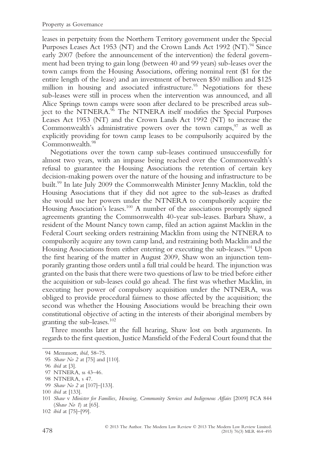leases in perpetuity from the Northern Territory government under the Special Purposes Leases Act 1953 (NT) and the Crown Lands Act 1992 (NT).<sup>94</sup> Since early 2007 (before the announcement of the intervention) the federal government had been trying to gain long (between 40 and 99 years) sub-leases over the town camps from the Housing Associations, offering nominal rent (\$1 for the entire length of the lease) and an investment of between \$50 million and \$125 million in housing and associated infrastructure.<sup>95</sup> Negotiations for these sub-leases were still in process when the intervention was announced, and all Alice Springs town camps were soon after declared to be prescribed areas subject to the NTNERA.<sup>96</sup> The NTNERA itself modifies the Special Purposes Leases Act 1953 (NT) and the Crown Lands Act 1992 (NT) to increase the Commonwealth's administrative powers over the town camps,  $97$  as well as explicitly providing for town camp leases to be compulsorily acquired by the Commonwealth.<sup>98</sup>

Negotiations over the town camp sub-leases continued unsuccessfully for almost two years, with an impasse being reached over the Commonwealth's refusal to guarantee the Housing Associations the retention of certain key decision-making powers over the nature of the housing and infrastructure to be built.99 In late July 2009 the Commonwealth Minister Jenny Macklin, told the Housing Associations that if they did not agree to the sub-leases as drafted she would use her powers under the NTNERA to compulsorily acquire the Housing Association's leases.<sup>100</sup> A number of the associations promptly signed agreements granting the Commonwealth 40-year sub-leases. Barbara Shaw, a resident of the Mount Nancy town camp, filed an action against Macklin in the Federal Court seeking orders restraining Macklin from using the NTNERA to compulsorily acquire any town camp land, and restraining both Macklin and the Housing Associations from either entering or executing the sub-leases.<sup>101</sup> Upon the first hearing of the matter in August 2009, Shaw won an injunction temporarily granting those orders until a full trial could be heard. The injunction was granted on the basis that there were two questions of law to be tried before either the acquisition or sub-leases could go ahead. The first was whether Macklin, in executing her power of compulsory acquisition under the NTNERA, was obliged to provide procedural fairness to those affected by the acquisition; the second was whether the Housing Associations would be breaching their own constitutional objective of acting in the interests of their aboriginal members by granting the sub-leases.102

Three months later at the full hearing, Shaw lost on both arguments. In regards to the first question, Justice Mansfield of the Federal Court found that the

<sup>94</sup> Memmott, *ibid*, 58–75.

<sup>95</sup> *Shaw No 2* at [75] and [110].

<sup>96</sup> *ibid* at [3].

<sup>97</sup> NTNERA, ss 43–46.

<sup>98</sup> NTNERA, s 47.

<sup>99</sup> *Shaw No 2* at [107]–[133].

<sup>100</sup> *ibid* at [133].

<sup>101</sup> *Shaw* v *Minister for Families, Housing, Community Services and Indigenous Affairs* [2009] FCA 844 (*Shaw No 1*) at [65].

<sup>102</sup> *ibid* at [75]–[99].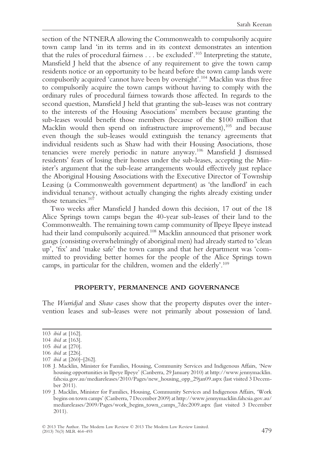section of the NTNERA allowing the Commonwealth to compulsorily acquire town camp land 'in its terms and in its context demonstrates an intention that the rules of procedural fairness . . . be excluded'.103 Interpreting the statute, Mansfield J held that the absence of any requirement to give the town camp residents notice or an opportunity to be heard before the town camp lands were compulsorily acquired 'cannot have been by oversight'.104 Macklin was thus free to compulsorily acquire the town camps without having to comply with the ordinary rules of procedural fairness towards those affected. In regards to the second question, Mansfield J held that granting the sub-leases was not contrary to the interests of the Housing Associations' members because granting the sub-leases would benefit those members (because of the \$100 million that Macklin would then spend on infrastructure improvement),<sup>105</sup> and because even though the sub-leases would extinguish the tenancy agreements that individual residents such as Shaw had with their Housing Associations, those tenancies were merely periodic in nature anyway.<sup>106</sup> Mansfield J dismissed residents' fears of losing their homes under the sub-leases, accepting the Minister's argument that the sub-lease arrangements would effectively just replace the Aboriginal Housing Associations with the Executive Director of Township Leasing (a Commonwealth government department) as 'the landlord' in each individual tenancy, without actually changing the rights already existing under those tenancies.<sup>107</sup>

Two weeks after Mansfield J handed down this decision, 17 out of the 18 Alice Springs town camps began the 40-year sub-leases of their land to the Commonwealth. The remaining town camp community of Ilpeye Ilpeye instead had their land compulsorily acquired.108 Macklin announced that prisoner work gangs (consisting overwhelmingly of aboriginal men) had already started to 'clean up', 'fix' and 'make safe' the town camps and that her department was 'committed to providing better homes for the people of the Alice Springs town camps, in particular for the children, women and the elderly'.109

#### **PROPERTY, PERMANENCE AND GOVERNANCE**

The *Wurridjal* and *Shaw* cases show that the property disputes over the intervention leases and sub-leases were not primarily about possession of land.

<sup>103</sup> *ibid* at [162].

<sup>104</sup> *ibid* at [163].

<sup>105</sup> *ibid* at [270].

<sup>106</sup> *ibid* at [226].

<sup>107</sup> *ibid* at [260]–[262].

<sup>108</sup> J. Macklin, Minister for Families, Housing, Community Services and Indigenous Affairs, 'New housing opportunities in Ilpeye Ilpeye' (Canberra, 29 January 2010) at http://www.jennymacklin. fahcsia.gov.au/mediareleases/2010/Pages/new\_housing\_opp\_29jan09.aspx (last visited 3 December 2011).

<sup>109</sup> J. Macklin, Minister for Families, Housing, Community Services and Indigenous Affairs, 'Work begins on town camps' (Canberra, 7 December 2009) at http://www.jennymacklin.fahcsia.gov.au/ mediareleases/2009/Pages/work\_begins\_town\_camps\_7dec2009.aspx (last visited 3 December 2011).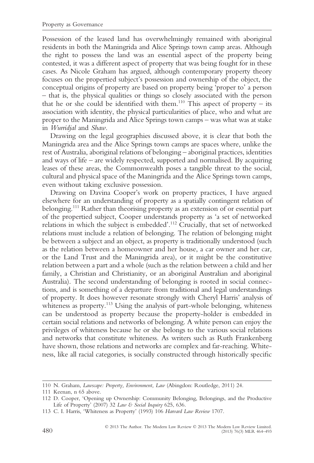Possession of the leased land has overwhelmingly remained with aboriginal residents in both the Maningrida and Alice Springs town camp areas. Although the right to possess the land was an essential aspect of the property being contested, it was a different aspect of property that was being fought for in these cases. As Nicole Graham has argued, although contemporary property theory focuses on the propertied subject's possession and ownership of the object, the conceptual origins of property are based on property being 'proper to' a person – that is, the physical qualities or things so closely associated with the person that he or she could be identified with them.<sup>110</sup> This aspect of property – its association with identity, the physical particularities of place, who and what are proper to the Maningrida and Alice Springs town camps – was what was at stake in *Wurridjal* and *Shaw.*

Drawing on the legal geographies discussed above, it is clear that both the Maningrida area and the Alice Springs town camps are spaces where, unlike the rest of Australia, aboriginal relations of belonging – aboriginal practices, identities and ways of life – are widely respected, supported and normalised. By acquiring leases of these areas, the Commonwealth poses a tangible threat to the social, cultural and physical space of the Maningrida and the Alice Springs town camps, even without taking exclusive possession.

Drawing on Davina Cooper's work on property practices, I have argued elsewhere for an understanding of property as a spatially contingent relation of belonging.111 Rather than theorising property as an extension of or essential part of the propertied subject, Cooper understands property as 'a set of networked relations in which the subject is embedded'.112 Crucially, that set of networked relations must include a relation of belonging. The relation of belonging might be between a subject and an object, as property is traditionally understood (such as the relation between a homeowner and her house, a car owner and her car, or the Land Trust and the Maningrida area), or it might be the constitutive relation between a part and a whole (such as the relation between a child and her family, a Christian and Christianity, or an aboriginal Australian and aboriginal Australia). The second understanding of belonging is rooted in social connections, and is something of a departure from traditional and legal understandings of property. It does however resonate strongly with Cheryl Harris' analysis of whiteness as property.<sup>113</sup> Using the analysis of part-whole belonging, whiteness can be understood as property because the property-holder is embedded in certain social relations and networks of belonging. A white person can enjoy the privileges of whiteness because he or she belongs to the various social relations and networks that constitute whiteness. As writers such as Ruth Frankenberg have shown, those relations and networks are complex and far-reaching. Whiteness, like all racial categories, is socially constructed through historically specific

<sup>110</sup> N. Graham, *Lawscape: Property, Environment, Law* (Abingdon: Routledge, 2011) 24.

<sup>111</sup> Keenan, n 65 above.

<sup>112</sup> D. Cooper, 'Opening up Ownership: Community Belonging, Belongings, and the Productive Life of Property' (2007) 32 *Law & Social Inquiry* 625, 636.

<sup>113</sup> C. I. Harris, 'Whiteness as Property' (1993) 106 *Harvard Law Review* 1707.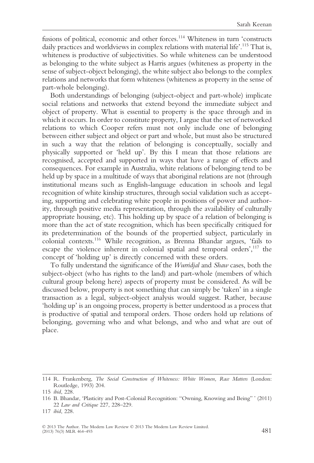fusions of political, economic and other forces.<sup>114</sup> Whiteness in turn 'constructs daily practices and worldviews in complex relations with material life'.<sup>115</sup> That is, whiteness is productive of subjectivities. So while whiteness can be understood as belonging to the white subject as Harris argues (whiteness as property in the sense of subject-object belonging), the white subject also belongs to the complex relations and networks that form whiteness (whiteness as property in the sense of part-whole belonging).

Both understandings of belonging (subject-object and part-whole) implicate social relations and networks that extend beyond the immediate subject and object of property. What is essential to property is the space through and in which it occurs. In order to constitute property, I argue that the set of networked relations to which Cooper refers must not only include one of belonging between either subject and object or part and whole, but must also be structured in such a way that the relation of belonging is conceptually, socially and physically supported or 'held up'. By this I mean that those relations are recognised, accepted and supported in ways that have a range of effects and consequences. For example in Australia, white relations of belonging tend to be held up by space in a multitude of ways that aboriginal relations are not (through institutional means such as English-language education in schools and legal recognition of white kinship structures, through social validation such as accepting, supporting and celebrating white people in positions of power and authority, through positive media representation, through the availability of culturally appropriate housing, etc). This holding up by space of a relation of belonging is more than the act of state recognition, which has been specifically critiqued for its predetermination of the bounds of the propertied subject, particularly in colonial contexts.116 While recognition, as Brenna Bhandar argues, 'fails to escape the violence inherent in colonial spatial and temporal orders',<sup>117</sup> the concept of 'holding up' is directly concerned with these orders.

To fully understand the significance of the *Wurridjal* and *Shaw* cases, both the subject-object (who has rights to the land) and part-whole (members of which cultural group belong here) aspects of property must be considered. As will be discussed below, property is not something that can simply be 'taken' in a single transaction as a legal, subject-object analysis would suggest. Rather, because 'holding up' is an ongoing process, property is better understood as a process that is productive of spatial and temporal orders. Those orders hold up relations of belonging, governing who and what belongs, and who and what are out of place.

<sup>114</sup> R. Frankenberg, *The Social Construction of Whiteness: White Women, Race Matters* (London: Routledge, 1993) 204.

<sup>115</sup> *ibid*, 228.

<sup>116</sup> B. Bhandar, 'Plasticity and Post-Colonial Recognition: "Owning, Knowing and Being" ' (2011) 22 *Law and Critique* 227, 228–229.

<sup>117</sup> *ibid*, 228.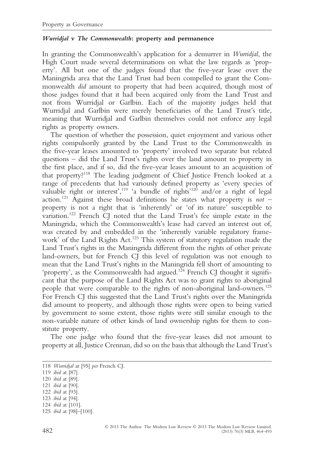#### *Wurridjal* **v** *The Commonwealth***: property and permanence**

In granting the Commonwealth's application for a demurrer in *Wurridjal*, the High Court made several determinations on what the law regards as 'property'. All but one of the judges found that the five-year lease over the Maningrida area that the Land Trust had been compelled to grant the Commonwealth *did* amount to property that had been acquired, though most of those judges found that it had been acquired only from the Land Trust and not from Wurridjal or Garlbin. Each of the majority judges held that Wurridjal and Garlbin were merely beneficiaries of the Land Trust's title, meaning that Wurridjal and Garlbin themselves could not enforce any legal rights as property owners.

The question of whether the possession, quiet enjoyment and various other rights compulsorily granted by the Land Trust to the Commonwealth in the five-year leases amounted to 'property' involved two separate but related questions – did the Land Trust's rights over the land amount to property in the first place, and if so, did the five-year leases amount to an acquisition of that property?118 The leading judgment of Chief Justice French looked at a range of precedents that had variously defined property as 'every species of valuable right or interest',<sup>119</sup> 'a bundle of rights'<sup>120</sup> and/or a right of legal action.<sup>121</sup> Against these broad definitions he states what property is *not* – property is not a right that is 'inherently' or 'of its nature' susceptible to variation.122 French CJ noted that the Land Trust's fee simple estate in the Maningrida, which the Commonwealth's lease had carved an interest out of, was created by and embedded in the 'inherently variable regulatory framework' of the Land Rights Act.<sup>123</sup> This system of statutory regulation made the Land Trust's rights in the Maningrida different from the rights of other private land-owners, but for French CJ this level of regulation was not enough to mean that the Land Trust's rights in the Maningrida fell short of amounting to 'property', as the Commonwealth had argued.<sup>124</sup> French CJ thought it significant that the purpose of the Land Rights Act was to grant rights to aboriginal people that were comparable to the rights of non-aboriginal land-owners.125 For French CJ this suggested that the Land Trust's rights over the Maningrida did amount to property, and although those rights were open to being varied by government to some extent, those rights were still similar enough to the non-variable nature of other kinds of land ownership rights for them to constitute property.

The one judge who found that the five-year leases did not amount to property at all, Justice Crennan, did so on the basis that although the Land Trust's

<sup>118</sup> *Wurridjal* at [95] *per* French CJ.

<sup>119</sup> *ibid* at [87].

<sup>120</sup> *ibid* at [89].

<sup>121</sup> *ibid* at [90].

<sup>122</sup> *ibid* at [93].

<sup>123</sup> *ibid* at [94].

<sup>124</sup> *ibid* at [101].

<sup>125</sup> *ibid* at [98]–[100].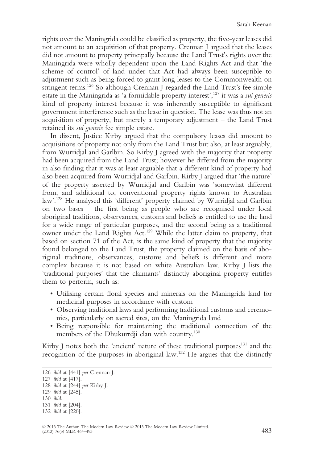rights over the Maningrida could be classified as property, the five-year leases did not amount to an acquisition of that property. Crennan J argued that the leases did not amount to property principally because the Land Trust's rights over the Maningrida were wholly dependent upon the Land Rights Act and that 'the scheme of control' of land under that Act had always been susceptible to adjustment such as being forced to grant long leases to the Commonwealth on stringent terms.<sup>126</sup> So although Crennan J regarded the Land Trust's fee simple estate in the Maningrida as 'a formidable property interest',127 it was a *sui generis* kind of property interest because it was inherently susceptible to significant government interference such as the lease in question. The lease was thus not an acquisition of property, but merely a temporary adjustment – the Land Trust retained its *sui generis* fee simple estate.

In dissent, Justice Kirby argued that the compulsory leases did amount to acquisitions of property not only from the Land Trust but also, at least arguably, from Wurridjal and Garlbin. So Kirby J agreed with the majority that property had been acquired from the Land Trust; however he differed from the majority in also finding that it was at least arguable that a different kind of property had also been acquired from Wurridjal and Garlbin. Kirby J argued that 'the nature' of the property asserted by Wurridjal and Garlbin was 'somewhat different from, and additional to, conventional property rights known to Australian law'.128 He analysed this 'different' property claimed by Wurridjal and Garlbin on two bases – the first being as people who are recognised under local aboriginal traditions, observances, customs and beliefs as entitled to use the land for a wide range of particular purposes, and the second being as a traditional owner under the Land Rights Act.129 While the latter claim to property, that based on section 71 of the Act, is the same kind of property that the majority found belonged to the Land Trust, the property claimed on the basis of aboriginal traditions, observances, customs and beliefs is different and more complex because it is not based on white Australian law. Kirby J lists the 'traditional purposes' that the claimants' distinctly aboriginal property entitles them to perform, such as:

- Utilising certain floral species and minerals on the Maningrida land for medicinal purposes in accordance with custom
- Observing traditional laws and performing traditional customs and ceremonies, particularly on sacred sites, on the Maningrida land
- Being responsible for maintaining the traditional connection of the members of the Dhukurrdji clan with country.<sup>130</sup>

Kirby J notes both the 'ancient' nature of these traditional purposes<sup>131</sup> and the recognition of the purposes in aboriginal law.132 He argues that the distinctly

<sup>126</sup> *ibid* at [441] *per* Crennan J.

<sup>127</sup> *ibid* at [417].

<sup>128</sup> *ibid* at [244] *per* Kirby J.

<sup>129</sup> *ibid* at [245].

<sup>130</sup> *ibid*.

<sup>131</sup> *ibid* at [204].

<sup>132</sup> *ibid* at [220].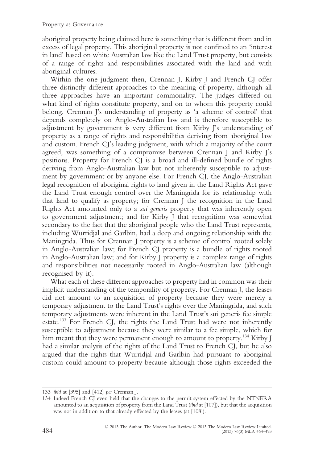aboriginal property being claimed here is something that is different from and in excess of legal property. This aboriginal property is not confined to an 'interest in land' based on white Australian law like the Land Trust property, but consists of a range of rights and responsibilities associated with the land and with aboriginal cultures.

Within the one judgment then, Crennan J, Kirby J and French CJ offer three distinctly different approaches to the meaning of property, although all three approaches have an important commonality. The judges differed on what kind of rights constitute property, and on to whom this property could belong. Crennan J's understanding of property as 'a scheme of control' that depends completely on Anglo-Australian law and is therefore susceptible to adjustment by government is very different from Kirby J's understanding of property as a range of rights and responsibilities deriving from aboriginal law and custom. French CJ's leading judgment, with which a majority of the court agreed, was something of a compromise between Crennan J and Kirby J's positions. Property for French CJ is a broad and ill-defined bundle of rights deriving from Anglo-Australian law but not inherently susceptible to adjustment by government or by anyone else. For French CJ, the Anglo-Australian legal recognition of aboriginal rights to land given in the Land Rights Act gave the Land Trust enough control over the Maningrida for its relationship with that land to qualify as property; for Crennan J the recognition in the Land Rights Act amounted only to a *sui generis* property that was inherently open to government adjustment; and for Kirby J that recognition was somewhat secondary to the fact that the aboriginal people who the Land Trust represents, including Wurridjal and Garlbin, had a deep and ongoing relationship with the Maningrida. Thus for Crennan J property is a scheme of control rooted solely in Anglo-Australian law; for French CJ property is a bundle of rights rooted in Anglo-Australian law; and for Kirby J property is a complex range of rights and responsibilities not necessarily rooted in Anglo-Australian law (although recognised by it).

What each of these different approaches to property had in common was their implicit understanding of the temporality of property. For Crennan J, the leases did not amount to an acquisition of property because they were merely a temporary adjustment to the Land Trust's rights over the Maningrida, and such temporary adjustments were inherent in the Land Trust's sui generis fee simple estate.133 For French CJ, the rights the Land Trust had were not inherently susceptible to adjustment because they were similar to a fee simple, which for him meant that they were permanent enough to amount to property.<sup>134</sup> Kirby J had a similar analysis of the rights of the Land Trust to French CJ, but he also argued that the rights that Wurridjal and Garlbin had pursuant to aboriginal custom could amount to property because although those rights exceeded the

<sup>133</sup> *ibid* at [395] and [412] *per* Crennan J.

<sup>134</sup> Indeed French CJ even held that the changes to the permit system effected by the NTNERA amounted to an acquisition of property from the Land Trust (*ibid* at [107]), but that the acquisition was not in addition to that already effected by the leases (at [108]).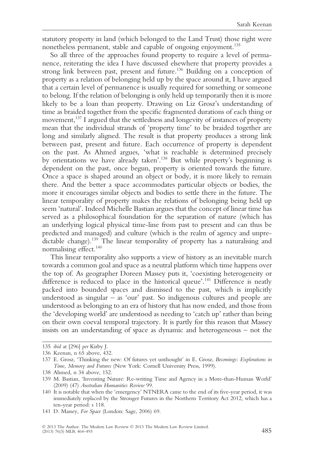statutory property in land (which belonged to the Land Trust) those right were nonetheless permanent, stable and capable of ongoing enjoyment.<sup>135</sup>

So all three of the approaches found property to require a level of permanence, reiterating the idea I have discussed elsewhere that property provides a strong link between past, present and future.<sup>136</sup> Building on a conception of property as a relation of belonging held up by the space around it, I have argued that a certain level of permanence is usually required for something or someone to belong. If the relation of belonging is only held up temporarily then it is more likely to be a loan than property. Drawing on Liz Grosz's understanding of time as braided together from the specific fragmented durations of each thing or movement,<sup>137</sup> I argued that the settledness and longevity of instances of property mean that the individual strands of 'property time' to be braided together are long and similarly aligned. The result is that property produces a strong link between past, present and future. Each occurrence of property is dependent on the past. As Ahmed argues, 'what is reachable is determined precisely by orientations we have already taken'.138 But while property's beginning is dependent on the past, once begun, property is oriented towards the future. Once a space is shaped around an object or body, it is more likely to remain there. And the better a space accommodates particular objects or bodies, the more it encourages similar objects and bodies to settle there in the future. The linear temporality of property makes the relations of belonging being held up seem 'natural'. Indeed Michelle Bastian argues that the concept of linear time has served as a philosophical foundation for the separation of nature (which has an underlying logical physical time-line from past to present and can thus be predicted and managed) and culture (which is the realm of agency and unpredictable change).<sup>139</sup> The linear temporality of property has a naturalising and normalising effect.<sup>140</sup>

This linear temporality also supports a view of history as an inevitable march towards a common goal and space as a neutral platform which time happens over the top of. As geographer Doreen Massey puts it, 'coexisting heterogeneity or difference is reduced to place in the historical queue'.<sup>141</sup> Difference is neatly packed into bounded spaces and dismissed to the past, which is implicitly understood as singular – as 'our' past. So indigenous cultures and people are understood as belonging to an era of history that has now ended, and those from the 'developing world' are understood as needing to 'catch up' rather than being on their own coeval temporal trajectory. It is partly for this reason that Massey insists on an understanding of space as dynamic and heterogeneous – not the

<sup>135</sup> *ibid* at [296] *per* Kirby J.

<sup>136</sup> Keenan, n 65 above, 432.

<sup>137</sup> E. Grosz, 'Thinking the new: Of futures yet unthought' in E. Grosz, *Becomings: Explorations in Time, Memory and Futures* (New York: Cornell University Press, 1999).

<sup>138</sup> Ahmed, n 34 above, 152.

<sup>139</sup> M. Bastian, 'Inventing Nature: Re-writing Time and Agency in a More-than-Human World' (2009) (47) *Australian Humanities Review* 99.

<sup>140</sup> It is notable that when the 'emergency' NTNERA came to the end of its five-year period, it was immediately replaced by the Stronger Futures in the Northern Territory Act 2012, which has a ten-year period: s 118.

<sup>141</sup> D. Massey, *For Space* (London: Sage, 2006) 69.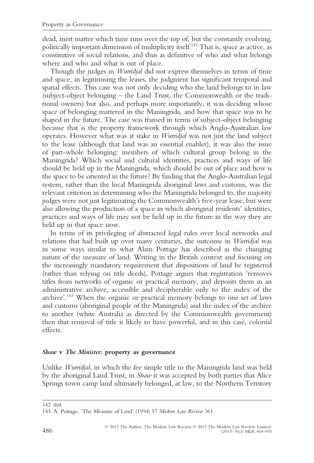dead, inert matter which time runs over the top of, but the constantly evolving, politically important dimension of multiplicity itself.142 That is, space as active, as constitutive of social relations, and thus as definitive of who and what belongs where and who and what is out of place.

Though the judges in *Wurridjal* did not express themselves in terms of time and space, in legitimising the leases, the judgment has significant temporal and spatial effects. This case was not only deciding who the land belongs to in law (subject-object belonging – the Land Trust, the Commonwealth or the traditional owners) but also, and perhaps more importantly, it was deciding whose space of belonging mattered in the Maningrida, and how that space was to be shaped in the future. The case was framed in terms of subject-object belonging because that is the property framework through which Anglo-Australian law operates. However what was at stake in *Wurridjal* was not just the land subject to the lease (although that land was an essential enabler), it was also the issue of part-whole belonging: members of which cultural group belong in the Maningrida? Which social and cultural identities, practices and ways of life should be held up in the Maningrida, which should be out of place and how is the space to be oriented in the future? By finding that the Anglo-Australian legal system, rather than the local Maningrida aboriginal laws and customs, was the relevant criterion in determining who the Maningrida belonged to, the majority judges were not just legitimating the Commonwealth's five-year lease, but were also allowing the production of a space in which aboriginal residents' identities, practices and ways of life may not be held up in the future in the way they are held up in that space now.

In terms of its privileging of abstracted legal rules over local networks and relations that had built up over many centuries, the outcome in *Wurridjal* was in some ways similar to what Alain Pottage has described as the changing nature of the measure of land. Writing in the British context and focusing on the increasingly mandatory requirement that dispositions of land be registered (rather than relying on title deeds), Pottage argues that registration 'removes titles from networks of organic or practical memory, and deposits them in an administrative archive, accessible and decipherable only to the index of the archive'.143 When the organic or practical memory belongs to one set of laws and customs (aboriginal people of the Maningrida) and the index of the archive to another (white Australia as directed by the Commonwealth government) then that removal of title is likely to have powerful, and in this case, colonial effects.

#### *Shaw* **v** *The Minister***: property as governance**

Unlike *Wurridjal*, in which the fee simple title to the Maningrida land was held by the aboriginal Land Trust, in *Shaw* it was accepted by both parties that Alice Springs town camp land ultimately belonged, at law, to the Northern Territory

<sup>142</sup> *ibid*.

<sup>143</sup> A. Pottage, 'The Measure of Land' (1994) 57 *Modern Law Review* 361.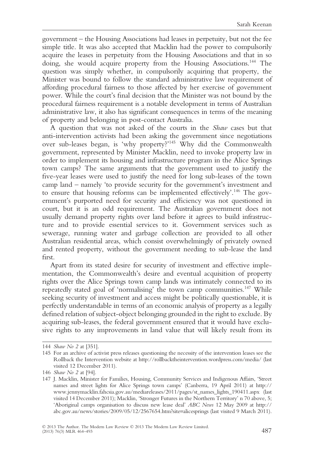government – the Housing Associations had leases in perpetuity, but not the fee simple title. It was also accepted that Macklin had the power to compulsorily acquire the leases in perpetuity from the Housing Associations and that in so doing, she would acquire property from the Housing Associations.144 The question was simply whether, in compulsorily acquiring that property, the Minister was bound to follow the standard administrative law requirement of affording procedural fairness to those affected by her exercise of government power. While the court's final decision that the Minister was not bound by the procedural fairness requirement is a notable development in terms of Australian administrative law, it also has significant consequences in terms of the meaning of property and belonging in post-contact Australia.

A question that was not asked of the courts in the *Shaw* cases but that anti-intervention activists had been asking the government since negotiations over sub-leases began, is 'why property?'145 Why did the Commonwealth government, represented by Minister Macklin, need to invoke property law in order to implement its housing and infrastructure program in the Alice Springs town camps? The same arguments that the government used to justify the five-year leases were used to justify the need for long sub-leases of the town camp land – namely 'to provide security for the government's investment and to ensure that housing reforms can be implemented effectively'.146 The government's purported need for security and efficiency was not questioned in court, but it is an odd requirement. The Australian government does not usually demand property rights over land before it agrees to build infrastructure and to provide essential services to it. Government services such as sewerage, running water and garbage collection are provided to all other Australian residential areas, which consist overwhelmingly of privately owned and rented property, without the government needing to sub-lease the land first.

Apart from its stated desire for security of investment and effective implementation, the Commonwealth's desire and eventual acquisition of property rights over the Alice Springs town camp lands was intimately connected to its repeatedly stated goal of 'normalising' the town camp communities.<sup>147</sup> While seeking security of investment and access might be politically questionable, it is perfectly understandable in terms of an economic analysis of property as a legally defined relation of subject-object belonging grounded in the right to exclude. By acquiring sub-leases, the federal government ensured that it would have exclusive rights to any improvements in land value that will likely result from its

<sup>144</sup> *Shaw No 2* at [351].

<sup>145</sup> For an archive of activist press releases questioning the necessity of the intervention leases see the Rollback the Intervention website at http://rollbacktheintervention.wordpress.com/media/ (last visited 12 December 2011).

<sup>146</sup> *Shaw No 2* at [94].

<sup>147</sup> J. Macklin, Minister for Families, Housing, Community Services and Indigenous Affairs, 'Street names and street lights for Alice Springs town camps' (Canberra, 19 April 2011) at http:// www.jennymacklin.fahcsia.gov.au/mediareleases/2011/pages/st\_names\_lights\_190411.aspx (last visited 14 December 2011); Macklin, 'Stronger Futures in the Northern Territory' n 70 above, 5; 'Aboriginal camps organisation to discuss new lease deal' *ABC News* 12 May 2009 at http:// abc.gov.au/news/stories/2009/05/12/2567654.htm?site=alicesprings (last visited 9 March 2011).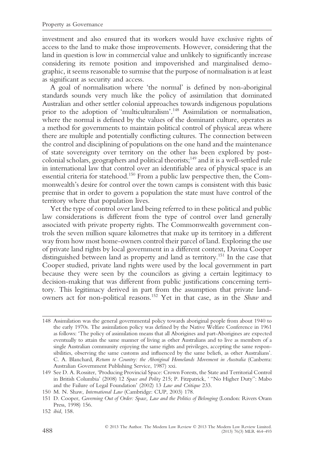investment and also ensured that its workers would have exclusive rights of access to the land to make those improvements. However, considering that the land in question is low in commercial value and unlikely to significantly increase considering its remote position and impoverished and marginalised demographic, it seems reasonable to surmise that the purpose of normalisation is at least as significant as security and access.

A goal of normalisation where 'the normal' is defined by non-aboriginal standards sounds very much like the policy of assimilation that dominated Australian and other settler colonial approaches towards indigenous populations prior to the adoption of 'multiculturalism'.<sup>148</sup> Assimilation or normalisation, where the normal is defined by the values of the dominant culture, operates as a method for governments to maintain political control of physical areas where there are multiple and potentially conflicting cultures. The connection between the control and disciplining of populations on the one hand and the maintenance of state sovereignty over territory on the other has been explored by postcolonial scholars, geographers and political theorists;<sup>149</sup> and it is a well-settled rule in international law that control over an identifiable area of physical space is an essential criteria for statehood.150 From a public law perspective then, the Commonwealth's desire for control over the town camps is consistent with this basic premise that in order to govern a population the state must have control of the territory where that population lives.

Yet the type of control over land being referred to in these political and public law considerations is different from the type of control over land generally associated with private property rights. The Commonwealth government controls the seven million square kilometres that make up its territory in a different way from how most home-owners control their parcel of land. Exploring the use of private land rights by local government in a different context, Davina Cooper distinguished between land as property and land as territory.<sup>151</sup> In the case that Cooper studied, private land rights were used by the local government in part because they were seen by the councilors as giving a certain legitimacy to decision-making that was different from public justifications concerning territory. This legitimacy derived in part from the assumption that private landowners act for non-political reasons.152 Yet in that case, as in the *Shaw* and

<sup>148</sup> Assimilation was the general governmental policy towards aboriginal people from about 1940 to the early 1970s. The assimilation policy was defined by the Native Welfare Conference in 1961 as follows: 'The policy of assimilation means that all Aborigines and part-Aborigines are expected eventually to attain the same manner of living as other Australians and to live as members of a single Australian community enjoying the same rights and privileges, accepting the same responsibilities, observing the same customs and influenced by the same beliefs, as other Australians'. C. A. Blanchard, *Return to Country: the Aboriginal Homelands Movement in Australia* (Canberra: Australian Government Publishing Service, 1987) xxi.

<sup>149</sup> See D. A. Rossiter, 'Producing Provincial Space: Crown Forests, the State and Territorial Control in British Columbia' (2008) 12 *Space and Polity* 215; P. Fitzpatrick, ' "No Higher Duty": Mabo and the Failure of Legal Foundation' (2002) 13 *Law and Critique* 233.

<sup>150</sup> M. N. Shaw, *International Law* (Cambridge: CUP, 2003) 178.

<sup>151</sup> D. Cooper, *Governing Out of Order: Space, Law and the Politics of Belonging* (London: Rivers Oram Press, 1998) 156.

<sup>152</sup> *ibid*, 158.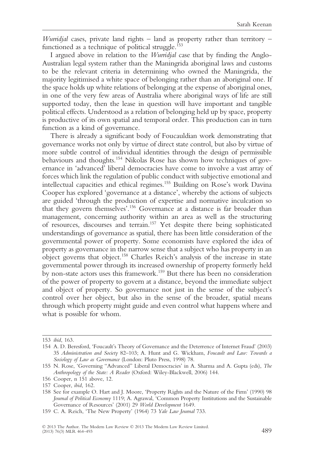*Wurridjal* cases, private land rights – land as property rather than territory – functioned as a technique of political struggle.<sup>153</sup>

I argued above in relation to the *Wurridjal* case that by finding the Anglo-Australian legal system rather than the Maningrida aboriginal laws and customs to be the relevant criteria in determining who owned the Maningrida, the majority legitimised a white space of belonging rather than an aboriginal one. If the space holds up white relations of belonging at the expense of aboriginal ones, in one of the very few areas of Australia where aboriginal ways of life are still supported today, then the lease in question will have important and tangible political effects. Understood as a relation of belonging held up by space, property is productive of its own spatial and temporal order. This production can in turn function as a kind of governance.

There is already a significant body of Foucauldian work demonstrating that governance works not only by virtue of direct state control, but also by virtue of more subtle control of individual identities through the design of permissible behaviours and thoughts.154 Nikolas Rose has shown how techniques of governance in 'advanced' liberal democracies have come to involve a vast array of forces which link the regulation of public conduct with subjective emotional and intellectual capacities and ethical regimes.155 Building on Rose's work Davina Cooper has explored 'governance at a distance', whereby the actions of subjects are guided 'through the production of expertise and normative inculcation so that they govern themselves'.156 Governance at a distance is far broader than management, concerning authority within an area as well as the structuring of resources, discourses and terrain.157 Yet despite there being sophisticated understandings of governance as spatial, there has been little consideration of the governmental power of property. Some economists have explored the idea of property as governance in the narrow sense that a subject who has property in an object governs that object.158 Charles Reich's analysis of the increase in state governmental power through its increased ownership of property formerly held by non-state actors uses this framework.159 But there has been no consideration of the power of property to govern at a distance, beyond the immediate subject and object of property. So governance not just in the sense of the subject's control over her object, but also in the sense of the broader, spatial means through which property might guide and even control what happens where and what is possible for whom.

<sup>153</sup> *ibid*, 163.

<sup>154</sup> A. D. Beresford, 'Foucault's Theory of Governance and the Deterrence of Internet Fraud' (2003) 35 *Administration and Society* 82–103; A. Hunt and G. Wickham, *Foucault and Law: Towards a Sociology of Law as Governance* (London: Pluto Press, 1998) 78.

<sup>155</sup> N. Rose, 'Governing "Advanced" Liberal Democracies' in A. Sharma and A. Gupta (eds), *The Anthropology of the State: A Reader* (Oxford: Wiley-Blackwell, 2006) 144.

<sup>156</sup> Cooper, n 151 above, 12.

<sup>157</sup> Cooper, *ibid*, 162.

<sup>158</sup> See for example O. Hart and J. Moore, 'Property Rights and the Nature of the Firm' (1990) 98 *Journal of Political Economy* 1119; A. Agrawal, 'Common Property Institutions and the Sustainable Governance of Resources' (2001) 29 *World Development* 1649.

<sup>159</sup> C. A. Reich, 'The New Property' (1964) 73 *Yale Law Journal* 733.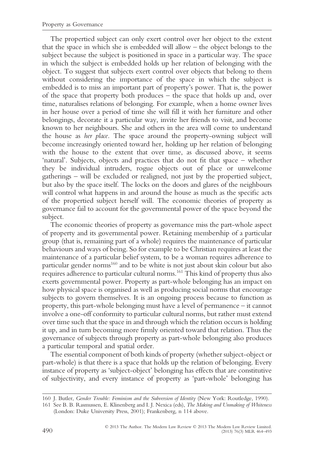The propertied subject can only exert control over her object to the extent that the space in which she is embedded will allow – the object belongs to the subject because the subject is positioned in space in a particular way. The space in which the subject is embedded holds up her relation of belonging with the object. To suggest that subjects exert control over objects that belong to them without considering the importance of the space in which the subject is embedded is to miss an important part of property's power. That is, the power of the space that property both produces – the space that holds up and, over time, naturalises relations of belonging. For example, when a home owner lives in her house over a period of time she will fill it with her furniture and other belongings, decorate it a particular way, invite her friends to visit, and become known to her neighbours. She and others in the area will come to understand the house as *her place.* The space around the property-owning subject will become increasingly oriented toward her, holding up her relation of belonging with the house to the extent that over time, as discussed above, it seems 'natural'. Subjects, objects and practices that do not fit that space – whether they be individual intruders, rogue objects out of place or unwelcome gatherings – will be excluded or realigned, not just by the propertied subject, but also by the space itself. The locks on the doors and glares of the neighbours will control what happens in and around the house as much as the specific acts of the propertied subject herself will. The economic theories of property as governance fail to account for the governmental power of the space beyond the subject.

The economic theories of property as governance miss the part-whole aspect of property and its governmental power. Retaining membership of a particular group (that is, remaining part of a whole) requires the maintenance of particular behaviours and ways of being. So for example to be Christian requires at least the maintenance of a particular belief system, to be a woman requires adherence to particular gender norms160 and to be white is not just about skin colour but also requires adherence to particular cultural norms.161 This kind of property thus also exerts governmental power. Property as part-whole belonging has an impact on how physical space is organised as well as producing social norms that encourage subjects to govern themselves. It is an ongoing process because to function as property, this part-whole belonging must have a level of permanence – it cannot involve a one-off conformity to particular cultural norms, but rather must extend over time such that the space in and through which the relation occurs is holding it up, and in turn becoming more firmly oriented toward that relation. Thus the governance of subjects through property as part-whole belonging also produces a particular temporal and spatial order.

The essential component of both kinds of property (whether subject-object or part-whole) is that there is a space that holds up the relation of belonging. Every instance of property as 'subject-object' belonging has effects that are constitutive of subjectivity, and every instance of property as 'part-whole' belonging has

<sup>160</sup> J. Butler, *Gender Trouble: Feminism and the Subversion of Identity* (New York: Routledge, 1990).

<sup>161</sup> See B. B. Rasmussen, E. Klinenberg and I. J. Nexica (eds), *The Making and Unmaking of Whiteness* (London: Duke University Press, 2001); Frankenberg, n 114 above.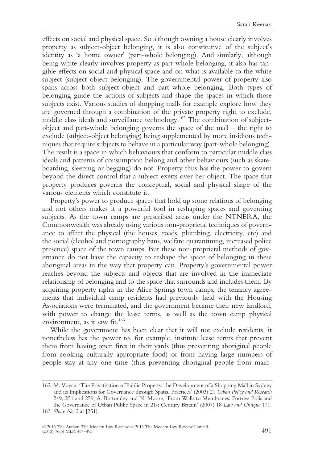effects on social and physical space. So although owning a house clearly involves property as subject-object belonging, it is also constitutive of the subject's identity as 'a home owner' (part-whole belonging). And similarly, although being white clearly involves property as part-whole belonging, it also has tangible effects on social and physical space and on what is available to the white subject (subject-object belonging). The governmental power of property also spans across both subject-object and part-whole belonging. Both types of belonging guide the actions of subjects and shape the spaces in which those subjects exist. Various studies of shopping malls for example explore how they are governed through a combination of the private property right to exclude, middle class ideals and surveillance technology.162 The combination of subjectobject and part-whole belonging governs the space of the mall – the right to exclude (subject-object belonging) being supplemented by more insidious techniques that require subjects to behave in a particular way (part-whole belonging). The result is a space in which behaviours that conform to particular middle class ideals and patterns of consumption belong and other behaviours (such as skateboarding, sleeping or begging) do not. Property thus has the power to govern beyond the direct control that a subject exerts over her object. The space that property produces governs the conceptual, social and physical shape of the various elements which constitute it.

Property's power to produce spaces that hold up some relations of belonging and not others makes it a powerful tool in reshaping spaces and governing subjects. As the town camps are prescribed areas under the NTNERA, the Commonwealth was already using various non-proprietal techniques of governance to affect the physical (the houses, roads, plumbing, electricity, etc) and the social (alcohol and pornography bans, welfare quarantining, increased police presence) space of the town camps. But these non-proprietal methods of governance do not have the capacity to reshape the space of belonging in these aboriginal areas in the way that property can. Property's governmental power reaches beyond the subjects and objects that are involved in the immediate relationship of belonging and to the space that surrounds and includes them. By acquiring property rights in the Alice Springs town camps, the tenancy agreements that individual camp residents had previously held with the Housing Associations were terminated, and the government became their new landlord, with power to change the lease terms, as well as the town camp physical environment, as it saw fit.<sup>163</sup>

While the government has been clear that it will not exclude residents, it nonetheless has the power to, for example, institute lease terms that prevent them from having open fires in their yards (thus preventing aboriginal people from cooking culturally appropriate food) or from having large numbers of people stay at any one time (thus preventing aboriginal people from main-

<sup>162</sup> M. Voyce, 'The Privatisation of Public Property: the Development of a Shopping Mall in Sydney and its Implications for Governance through Spatial Practices' (2003) 21 *Urban Policy and Research* 249, 251 and 259; A. Bottomley and N. Moore, 'From Walls to Membranes: Fortress Polis and the Governance of Urban Public Space in 21st Century Britain' (2007) 18 *Law and Critique* 171.

<sup>163</sup> *Shaw No 2* at [251].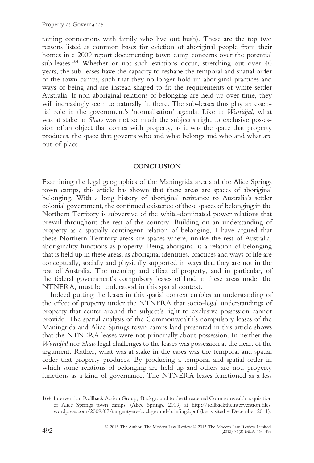taining connections with family who live out bush). These are the top two reasons listed as common bases for eviction of aboriginal people from their homes in a 2009 report documenting town camp concerns over the potential sub-leases.<sup>164</sup> Whether or not such evictions occur, stretching out over 40 years, the sub-leases have the capacity to reshape the temporal and spatial order of the town camps, such that they no longer hold up aboriginal practices and ways of being and are instead shaped to fit the requirements of white settler Australia. If non-aboriginal relations of belonging are held up over time, they will increasingly seem to naturally fit there. The sub-leases thus play an essential role in the government's 'normalisation' agenda. Like in *Wurridjal*, what was at stake in *Shaw* was not so much the subject's right to exclusive possession of an object that comes with property, as it was the space that property produces, the space that governs who and what belongs and who and what are out of place.

#### **CONCLUSION**

Examining the legal geographies of the Maningrida area and the Alice Springs town camps, this article has shown that these areas are spaces of aboriginal belonging. With a long history of aboriginal resistance to Australia's settler colonial government, the continued existence of these spaces of belonging in the Northern Territory is subversive of the white-dominated power relations that prevail throughout the rest of the country. Building on an understanding of property as a spatially contingent relation of belonging, I have argued that these Northern Territory areas are spaces where, unlike the rest of Australia, aboriginality functions as property. Being aboriginal is a relation of belonging that is held up in these areas, as aboriginal identities, practices and ways of life are conceptually, socially and physically supported in ways that they are not in the rest of Australia. The meaning and effect of property, and in particular, of the federal government's compulsory leases of land in these areas under the NTNERA, must be understood in this spatial context.

Indeed putting the leases in this spatial context enables an understanding of the effect of property under the NTNERA that socio-legal understandings of property that center around the subject's right to exclusive possession cannot provide. The spatial analysis of the Commonwealth's compulsory leases of the Maningrida and Alice Springs town camps land presented in this article shows that the NTNERA leases were not principally about possession. In neither the *Wurridjal* nor *Shaw* legal challenges to the leases was possession at the heart of the argument. Rather, what was at stake in the cases was the temporal and spatial order that property produces. By producing a temporal and spatial order in which some relations of belonging are held up and others are not, property functions as a kind of governance. The NTNERA leases functioned as a less

<sup>164</sup> Intervention Rollback Action Group, 'Background to the threatened Commonwealth acquisition of Alice Springs town camps' (Alice Springs, 2009) at http://rollbacktheintervention.files. wordpress.com/2009/07/tangentyere-background-briefing2.pdf (last visited 4 December 2011).